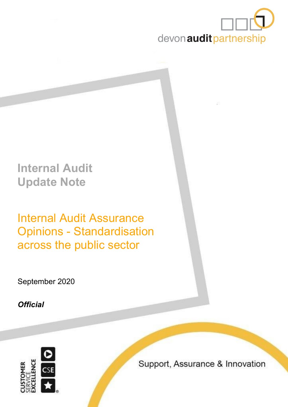

# **Internal Audit Update Note**

Internal Audit Assurance Opinions - Standardisation across the public sector

September 2020

*Official*



Support, Assurance & Innovation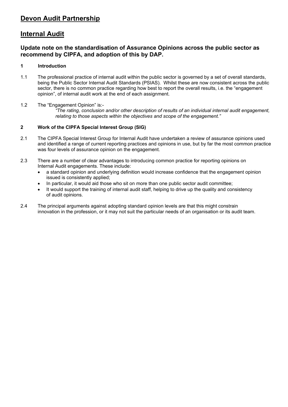## **Devon Audit Partnership**

## **Internal Audit**

### **Update note on the standardisation of Assurance Opinions across the public sector as recommend by CIPFA, and adoption of this by DAP.**

#### **1 Introduction**

- 1.1 The professional practice of internal audit within the public sector is governed by a set of overall standards, being the Public Sector Internal Audit Standards (PSIAS). Whilst these are now consistent across the public sector, there is no common practice regarding how best to report the overall results, i.e. the "engagement opinion", of internal audit work at the end of each assignment.
- 1.2 The "Engagement Opinion" is:- *"The rating, conclusion and/or other description of results of an individual internal audit engagement, relating to those aspects within the objectives and scope of the engagement."*

#### **2 Work of the CIPFA Special Interest Group (SIG)**

- 2.1 The CIPFA Special Interest Group for Internal Audit have undertaken a review of assurance opinions used and identified a range of current reporting practices and opinions in use, but by far the most common practice was four levels of assurance opinion on the engagement.
- 2.3 There are a number of clear advantages to introducing common practice for reporting opinions on Internal Audit engagements. These include:
	- a standard opinion and underlying definition would increase confidence that the engagement opinion issued is consistently applied;
	- In particular, it would aid those who sit on more than one public sector audit committee;
	- It would support the training of internal audit staff, helping to drive up the quality and consistency of audit opinions.
- 2.4 The principal arguments against adopting standard opinion levels are that this might constrain innovation in the profession, or it may not suit the particular needs of an organisation or its audit team.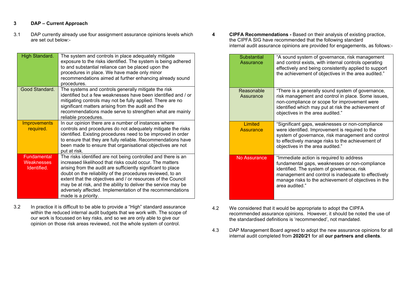#### **3 DAP – Current Approach**

3.1 DAP currently already use four assignment assurance opinions levels which are set out below:-

| High Standard.                           | The system and controls in place adequately mitigate<br>exposure to the risks identified. The system is being adhered<br>to and substantial reliance can be placed upon the<br>procedures in place. We have made only minor<br>recommendations aimed at further enhancing already sound<br>procedures.                                                                                                                                                                       |
|------------------------------------------|------------------------------------------------------------------------------------------------------------------------------------------------------------------------------------------------------------------------------------------------------------------------------------------------------------------------------------------------------------------------------------------------------------------------------------------------------------------------------|
| Good Standard.                           | The systems and controls generally mitigate the risk<br>identified but a few weaknesses have been identified and / or<br>mitigating controls may not be fully applied. There are no<br>significant matters arising from the audit and the<br>recommendations made serve to strengthen what are mainly<br>reliable procedures.                                                                                                                                                |
| <b>Improvements</b><br>required.         | In our opinion there are a number of instances where<br>controls and procedures do not adequately mitigate the risks<br>identified. Existing procedures need to be improved in order<br>to ensure that they are fully reliable. Recommendations have<br>been made to ensure that organisational objectives are not<br>put at risk.                                                                                                                                           |
| Fundamental<br>Weaknesses<br>Identified. | The risks identified are not being controlled and there is an<br>increased likelihood that risks could occur. The matters<br>arising from the audit are sufficiently significant to place<br>doubt on the reliability of the procedures reviewed, to an<br>extent that the objectives and / or resources of the Council<br>may be at risk, and the ability to deliver the service may be<br>adversely affected. Implementation of the recommendations<br>made is a priority. |

3.2 In practice it is difficult to be able to provide a "High" standard assurance within the reduced internal audit budgets that we work with. The scope of our work is focussed on key risks, and so we are only able to give our opinion on those risk areas reviewed, not the whole system of control.

**4 CIPFA Recommendations -** Based on their analysis of existing practice, the CIPFA SIG have recommended that the following standard internal audit assurance opinions are provided for engagements, as follows:-

| Substantial<br>Assurance | "A sound system of governance, risk management<br>and control exists, with internal controls operating<br>effectively and being consistently applied to support<br>the achievement of objectives in the area audited."                                                    |
|--------------------------|---------------------------------------------------------------------------------------------------------------------------------------------------------------------------------------------------------------------------------------------------------------------------|
| Reasonable<br>Assurance  | "There is a generally sound system of governance,<br>risk management and control in place. Some issues,<br>non-compliance or scope for improvement were<br>identified which may put at risk the achievement of<br>objectives in the area audited."                        |
| Limited<br>Assurance     | "Significant gaps, weaknesses or non-compliance<br>were identified. Improvement is required to the<br>system of governance, risk management and control<br>to effectively manage risks to the achievement of<br>objectives in the area audited."                          |
| No Assurance             | "Immediate action is required to address<br>fundamental gaps, weaknesses or non-compliance<br>identified. The system of governance, risk<br>management and control is inadequate to effectively<br>manage risks to the achievement of objectives in the<br>area audited." |

- 4.2 We considered that it would be appropriate to adopt the CIPFA recommended assurance opinions. However, it should be noted the use of the standardised definitions is 'recommended', not mandated.
- 4.3 DAP Management Board agreed to adopt the new assurance opinions for all internal audit completed from **2020/21** for all **our partners and clients**.